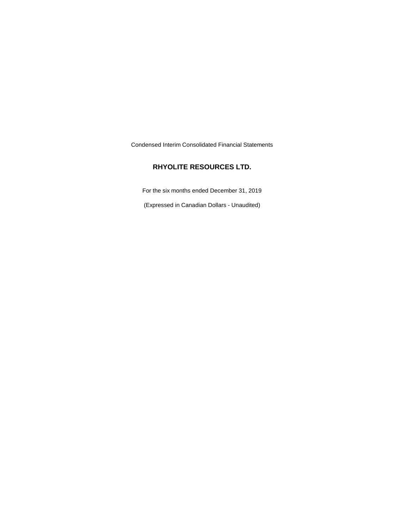Condensed Interim Consolidated Financial Statements

## **RHYOLITE RESOURCES LTD.**

For the six months ended December 31, 2019

(Expressed in Canadian Dollars - Unaudited)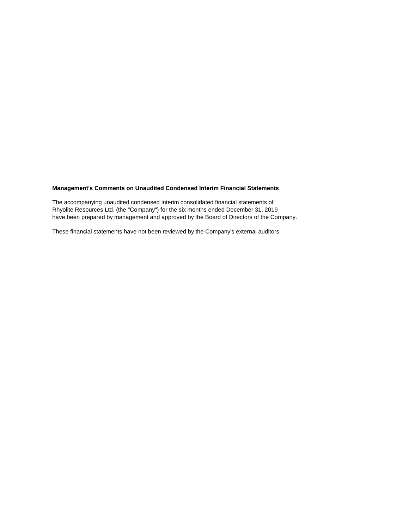## **Management's Comments on Unaudited Condensed Interim Financial Statements**

The accompanying unaudited condensed interim consolidated financial statements of Rhyolite Resources Ltd. (the "Company") for the six months ended December 31, 2019 have been prepared by management and approved by the Board of Directors of the Company.

These financial statements have not been reviewed by the Company's external auditors.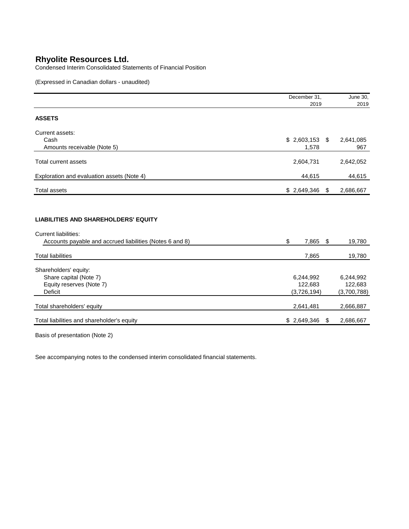Condensed Interim Consolidated Statements of Financial Position

(Expressed in Canadian dollars - unaudited)

|                                                                                                                                        | December 31,                        |      | June 30,                            |
|----------------------------------------------------------------------------------------------------------------------------------------|-------------------------------------|------|-------------------------------------|
|                                                                                                                                        | 2019                                |      | 2019                                |
| <b>ASSETS</b>                                                                                                                          |                                     |      |                                     |
| Current assets:<br>Cash                                                                                                                | $$2,603,153$ \;                     |      | 2,641,085                           |
| Amounts receivable (Note 5)                                                                                                            | 1,578                               |      | 967                                 |
| <b>Total current assets</b>                                                                                                            | 2,604,731                           |      | 2,642,052                           |
| Exploration and evaluation assets (Note 4)                                                                                             | 44,615                              |      | 44,615                              |
| <b>Total assets</b>                                                                                                                    | \$2,649,346                         | - \$ | 2,686,667                           |
| <b>LIABILITIES AND SHAREHOLDERS' EQUITY</b><br><b>Current liabilities:</b><br>Accounts payable and accrued liabilities (Notes 6 and 8) | \$<br>7,865                         | \$   | 19,780                              |
| <b>Total liabilities</b>                                                                                                               | 7,865                               |      | 19,780                              |
| Shareholders' equity:<br>Share capital (Note 7)<br>Equity reserves (Note 7)<br><b>Deficit</b>                                          | 6,244,992<br>122,683<br>(3,726,194) |      | 6,244,992<br>122,683<br>(3,700,788) |
| Total shareholders' equity                                                                                                             | 2,641,481                           |      | 2,666,887                           |
| Total liabilities and shareholder's equity                                                                                             | \$2,649,346                         | \$   | 2,686,667                           |

Basis of presentation (Note 2)

See accompanying notes to the condensed interim consolidated financial statements.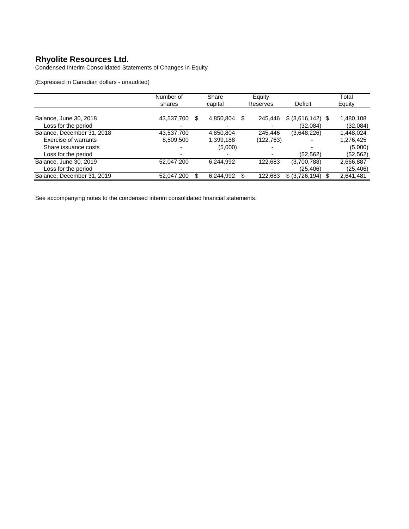Condensed Interim Consolidated Statements of Changes in Equity

(Expressed in Canadian dollars - unaudited)

|                            | Number of        | Share     | Equity        |                     | Total     |
|----------------------------|------------------|-----------|---------------|---------------------|-----------|
|                            | shares           | capital   | Reserves      | <b>Deficit</b>      | Equity    |
|                            |                  |           |               |                     |           |
| Balance, June 30, 2018     | 43,537,700<br>\$ | 4,850,804 | \$<br>245,446 | $$$ (3,616,142) $$$ | 1,480,108 |
| Loss for the period        |                  |           |               | (32,084)            | (32,084)  |
| Balance, December 31, 2018 | 43,537,700       | 4,850,804 | 245.446       | (3,648,226)         | .448,024  |
| Exercise of warrants       | 8,509,500        | 1,399,188 | (122,763)     |                     | 1,276,425 |
| Share issuance costs       |                  | (5,000)   |               |                     | (5,000)   |
| Loss for the period        |                  |           |               | (52, 562)           | (52,562)  |
| Balance, June 30, 2019     | 52,047,200       | 6.244.992 | 122,683       | (3,700,788)         | 2,666,887 |
| Loss for the period        |                  |           |               | (25, 406)           | (25,406)  |
| Balance, December 31, 2019 | 52,047,200<br>\$ | 6,244,992 | 122.683       | \$ (3,726,194)      | 2,641,481 |

See accompanying notes to the condensed interim consolidated financial statements.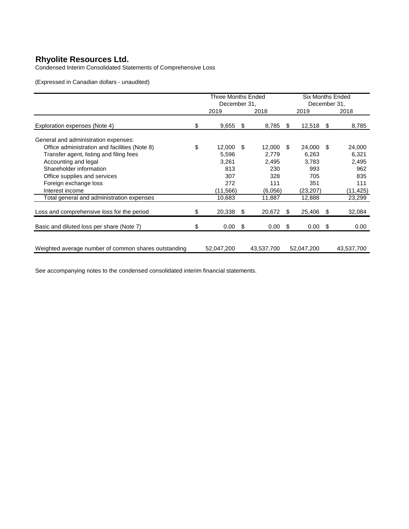Condensed Interim Consolidated Statements of Comprehensive Loss

(Expressed in Canadian dollars - unaudited)

|                                                      | Three Months Ended |            |    | <b>Six Months Ended</b> |              |            |      |            |
|------------------------------------------------------|--------------------|------------|----|-------------------------|--------------|------------|------|------------|
|                                                      | December 31,       |            |    |                         | December 31, |            |      |            |
|                                                      |                    | 2019       |    | 2018                    |              | 2019       |      | 2018       |
| Exploration expenses (Note 4)                        | \$                 | 9,655      | \$ | 8,785                   | \$           | 12,518     | - \$ | 8,785      |
| General and administration expenses:                 |                    |            |    |                         |              |            |      |            |
| Office administration and facilities (Note 8)        | \$                 | 12,000     | \$ | 12,000                  | \$.          | 24,000     | -SS  | 24,000     |
| Transfer agent, listing and filing fees              |                    | 5,596      |    | 2,779                   |              | 6,263      |      | 6,321      |
| Accounting and legal                                 |                    | 3,261      |    | 2,495                   |              | 3.783      |      | 2,495      |
| Shareholder information                              |                    | 813        |    | 230                     |              | 993        |      | 962        |
| Office supplies and services                         |                    | 307        |    | 328                     |              | 705        |      | 835        |
| Foreign exchange loss                                |                    | 272        |    | 111                     |              | 351        |      | 111        |
| Interest income                                      |                    | (11, 566)  |    | (6.056)                 |              | (23,207)   |      | (11, 425)  |
| Total general and administration expenses            |                    | 10,683     |    | 11,887                  |              | 12,888     |      | 23,299     |
| Loss and comprehensive loss for the period           | \$                 | 20,338     | \$ | 20,672                  | \$           | 25,406     | - \$ | 32,084     |
| Basic and diluted loss per share (Note 7)            | \$                 | 0.00       | \$ | 0.00                    | \$           | 0.00       | -\$  | 0.00       |
|                                                      |                    |            |    |                         |              |            |      |            |
| Weighted average number of common shares outstanding |                    | 52,047,200 |    | 43,537,700              |              | 52,047,200 |      | 43,537,700 |

See accompanying notes to the condensed consolidated interim financial statements.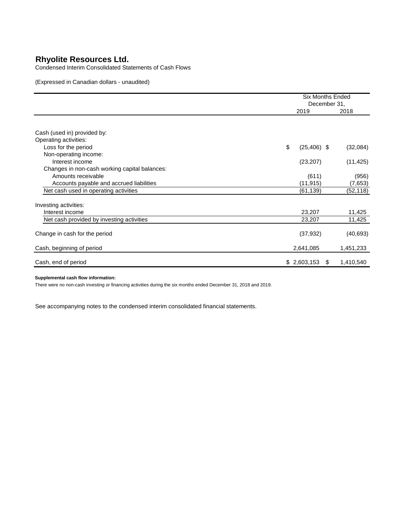Condensed Interim Consolidated Statements of Cash Flows

(Expressed in Canadian dollars - unaudited)

|                                               |                      | <b>Six Months Ended</b><br>December 31, |  |  |
|-----------------------------------------------|----------------------|-----------------------------------------|--|--|
|                                               | 2019                 | 2018                                    |  |  |
|                                               |                      |                                         |  |  |
| Cash (used in) provided by:                   |                      |                                         |  |  |
| Operating activities:                         |                      |                                         |  |  |
| Loss for the period                           | \$<br>$(25, 406)$ \$ | (32,084)                                |  |  |
| Non-operating income:                         |                      |                                         |  |  |
| Interest income                               | (23, 207)            | (11, 425)                               |  |  |
| Changes in non-cash working capital balances: |                      |                                         |  |  |
| Amounts receivable                            | (611)                | (956)                                   |  |  |
| Accounts payable and accrued liabilities      | (11, 915)            | (7,653)                                 |  |  |
| Net cash used in operating activities         | (61, 139)            | (52, 118)                               |  |  |
| Investing activities:                         |                      |                                         |  |  |
| Interest income                               | 23,207               | 11,425                                  |  |  |
| Net cash provided by investing activities     | 23,207               | 11,425                                  |  |  |
| Change in cash for the period                 | (37, 932)            | (40, 693)                               |  |  |
| Cash, beginning of period                     | 2,641,085            | 1,451,233                               |  |  |
| Cash, end of period                           | \$2,603,153          | 1,410,540<br>\$.                        |  |  |

#### **Supplemental cash flow information:**

There were no non-cash investing or financing activities during the six months ended December 31, 2018 and 2019.

See accompanying notes to the condensed interim consolidated financial statements.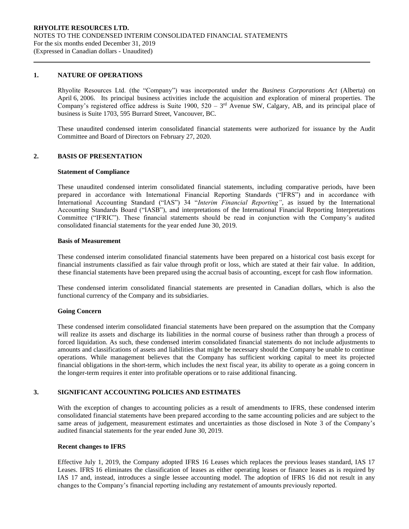## **1. NATURE OF OPERATIONS**

Rhyolite Resources Ltd. (the "Company") was incorporated under the *Business Corporations Act* (Alberta) on April 6, 2006. Its principal business activities include the acquisition and exploration of mineral properties. The Company's registered office address is Suite 1900,  $520 - 3<sup>rd</sup>$  Avenue SW, Calgary, AB, and its principal place of business is Suite 1703, 595 Burrard Street, Vancouver, BC.

These unaudited condensed interim consolidated financial statements were authorized for issuance by the Audit Committee and Board of Directors on February 27, 2020.

### **2. BASIS OF PRESENTATION**

#### **Statement of Compliance**

These unaudited condensed interim consolidated financial statements, including comparative periods, have been prepared in accordance with International Financial Reporting Standards ("IFRS") and in accordance with International Accounting Standard ("IAS") 34 "*Interim Financial Reporting"*, as issued by the International Accounting Standards Board ("IASB"), and interpretations of the International Financial Reporting Interpretations Committee ("IFRIC"). These financial statements should be read in conjunction with the Company's audited consolidated financial statements for the year ended June 30, 2019.

#### **Basis of Measurement**

These condensed interim consolidated financial statements have been prepared on a historical cost basis except for financial instruments classified as fair value through profit or loss, which are stated at their fair value. In addition, these financial statements have been prepared using the accrual basis of accounting, except for cash flow information.

These condensed interim consolidated financial statements are presented in Canadian dollars, which is also the functional currency of the Company and its subsidiaries.

#### **Going Concern**

These condensed interim consolidated financial statements have been prepared on the assumption that the Company will realize its assets and discharge its liabilities in the normal course of business rather than through a process of forced liquidation. As such, these condensed interim consolidated financial statements do not include adjustments to amounts and classifications of assets and liabilities that might be necessary should the Company be unable to continue operations. While management believes that the Company has sufficient working capital to meet its projected financial obligations in the short-term, which includes the next fiscal year, its ability to operate as a going concern in the longer-term requires it enter into profitable operations or to raise additional financing.

#### **3. SIGNIFICANT ACCOUNTING POLICIES AND ESTIMATES**

With the exception of changes to accounting policies as a result of amendments to IFRS, these condensed interim consolidated financial statements have been prepared according to the same accounting policies and are subject to the same areas of judgement, measurement estimates and uncertainties as those disclosed in Note 3 of the Company's audited financial statements for the year ended June 30, 2019.

#### **Recent changes to IFRS**

Effective July 1, 2019, the Company adopted IFRS 16 Leases which replaces the previous leases standard, IAS 17 Leases. IFRS 16 eliminates the classification of leases as either operating leases or finance leases as is required by IAS 17 and, instead, introduces a single lessee accounting model. The adoption of IFRS 16 did not result in any changes to the Company's financial reporting including any restatement of amounts previously reported.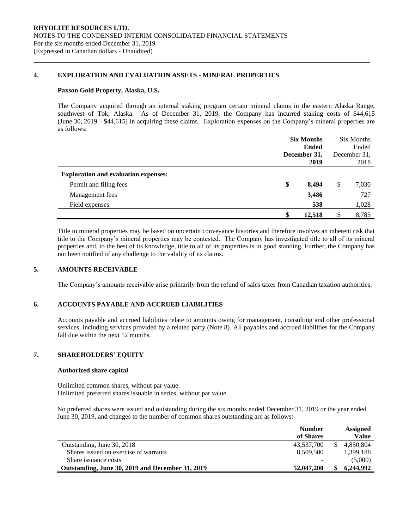## **4. EXPLORATION AND EVALUATION ASSETS - MINERAL PROPERTIES**

#### **Paxson Gold Property, Alaska, U.S.**

The Company acquired through an internal staking program certain mineral claims in the eastern Alaska Range, southwest of Tok, Alaska. As of December 31, 2019, the Company has incurred staking costs of \$44,615 (June 30, 2019 - \$44,615) in acquiring these claims. Exploration expenses on the Company's mineral properties are as follows:

|                                             |    | <b>Six Months</b><br><b>Ended</b><br>December 31, |    |       |
|---------------------------------------------|----|---------------------------------------------------|----|-------|
|                                             |    |                                                   |    |       |
|                                             |    |                                                   |    |       |
|                                             |    | 2019                                              |    | 2018  |
| <b>Exploration and evaluation expenses:</b> |    |                                                   |    |       |
| Permit and filing fees                      | \$ | 8.494                                             | \$ | 7,030 |
| Management fees                             |    | 3,486                                             |    | 727   |
| Field expenses                              |    | 538                                               |    | 1,028 |
|                                             | \$ | 12.518                                            | \$ | 8,785 |

Title to mineral properties may be based on uncertain conveyance histories and therefore involves an inherent risk that title to the Company's mineral properties may be contested. The Company has investigated title to all of its mineral properties and, to the best of its knowledge, title to all of its properties is in good standing. Further, the Company has not been notified of any challenge to the validity of its claims.

## **5. AMOUNTS RECEIVABLE**

The Company's amounts receivable arise primarily from the refund of sales taxes from Canadian taxation authorities.

## **6. ACCOUNTS PAYABLE AND ACCRUED LIABILITIES**

Accounts payable and accrued liabilities relate to amounts owing for management, consulting and other professional services, including services provided by a related party (Note 8). All payables and accrued liabilities for the Company fall due within the next 12 months.

## **7. SHAREHOLDERS' EQUITY**

#### **Authorized share capital**

Unlimited common shares, without par value. Unlimited preferred shares issuable in series, without par value.

No preferred shares were issued and outstanding during the six months ended December 31, 2019 or the year ended June 30, 2019, and changes to the number of common shares outstanding are as follows:

|                                                  | <b>Number</b><br>of Shares |     | Assigned<br>Value |
|--------------------------------------------------|----------------------------|-----|-------------------|
| Outstanding, June 30, 2018                       | 43.537.700                 | \$. | 4.850.804         |
| Shares issued on exercise of warrants            | 8.509.500                  |     | 1,399,188         |
| Share issuance costs                             |                            |     | (5,000)           |
| Outstanding, June 30, 2019 and December 31, 2019 | 52,047,200                 |     | 6.244.992         |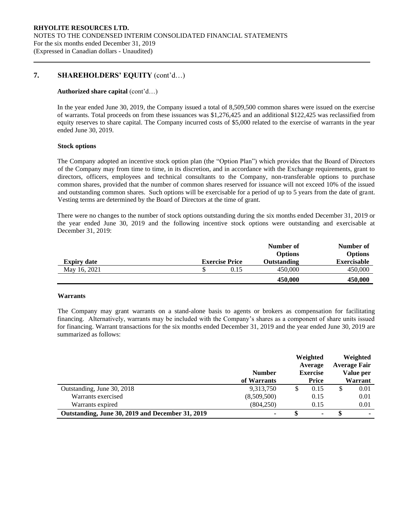## **7. SHAREHOLDERS' EQUITY** (cont'd…)

#### **Authorized share capital** (cont'd…)

In the year ended June 30, 2019, the Company issued a total of 8,509,500 common shares were issued on the exercise of warrants. Total proceeds on from these issuances was \$1,276,425 and an additional \$122,425 was reclassified from equity reserves to share capital. The Company incurred costs of \$5,000 related to the exercise of warrants in the year ended June 30, 2019.

#### **Stock options**

The Company adopted an incentive stock option plan (the "Option Plan") which provides that the Board of Directors of the Company may from time to time, in its discretion, and in accordance with the Exchange requirements, grant to directors, officers, employees and technical consultants to the Company, non-transferable options to purchase common shares, provided that the number of common shares reserved for issuance will not exceed 10% of the issued and outstanding common shares. Such options will be exercisable for a period of up to 5 years from the date of grant. Vesting terms are determined by the Board of Directors at the time of grant.

There were no changes to the number of stock options outstanding during the six months ended December 31, 2019 or the year ended June 30, 2019 and the following incentive stock options were outstanding and exercisable at December 31, 2019:

|                    |                       | Number of          | Number of          |
|--------------------|-----------------------|--------------------|--------------------|
|                    |                       | <b>Options</b>     | <b>Options</b>     |
| <b>Expiry date</b> | <b>Exercise Price</b> | <b>Outstanding</b> | <b>Exercisable</b> |
| May 16, 2021       | 0.15                  | 450,000            | 450,000            |
|                    |                       | 450,000            | 450,000            |

#### **Warrants**

The Company may grant warrants on a stand-alone basis to agents or brokers as compensation for facilitating financing. Alternatively, warrants may be included with the Company's shares as a component of share units issued for financing. Warrant transactions for the six months ended December 31, 2019 and the year ended June 30, 2019 are summarized as follows:

|                                                  |               | Weighted<br>Average |   | Weighted<br><b>Average Fair</b> |
|--------------------------------------------------|---------------|---------------------|---|---------------------------------|
|                                                  | <b>Number</b> | <b>Exercise</b>     |   | Value per                       |
|                                                  | of Warrants   | Price               |   | Warrant                         |
| Outstanding, June 30, 2018                       | 9,313,750     | \$<br>0.15          | J | 0.01                            |
| Warrants exercised                               | (8,509,500)   | 0.15                |   | 0.01                            |
| Warrants expired                                 | (804, 250)    | 0.15                |   | 0.01                            |
| Outstanding, June 30, 2019 and December 31, 2019 | ۰             | ٠                   |   |                                 |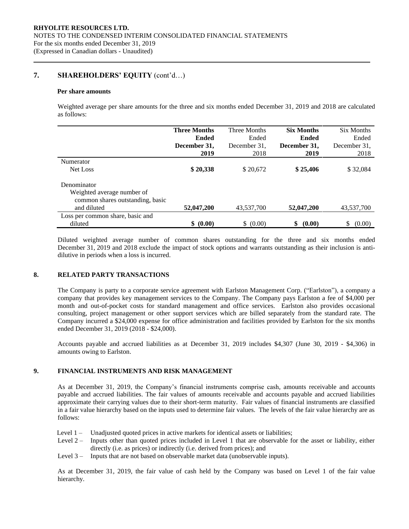## **7. SHAREHOLDERS' EQUITY** (cont'd…)

#### **Per share amounts**

Weighted average per share amounts for the three and six months ended December 31, 2019 and 2018 are calculated as follows:

|                                  | <b>Three Months</b> | Three Months | <b>Six Months</b> | <b>Six Months</b> |
|----------------------------------|---------------------|--------------|-------------------|-------------------|
|                                  | <b>Ended</b>        | Ended        | <b>Ended</b>      | Ended             |
|                                  | December 31,        | December 31. | December 31,      | December 31,      |
|                                  | 2019                | 2018         | 2019              | 2018              |
| Numerator                        |                     |              |                   |                   |
| Net Loss                         | \$20,338            | \$20,672     | \$25,406          | \$32,084          |
| Denominator                      |                     |              |                   |                   |
| Weighted average number of       |                     |              |                   |                   |
| common shares outstanding, basic |                     |              |                   |                   |
| and diluted                      | 52,047,200          | 43,537,700   | 52,047,200        | 43,537,700        |
| Loss per common share, basic and |                     |              |                   |                   |
| diluted                          | \$ (0.00)           | \$ (0.00)    | \$<br>(0.00)      | \$<br>(0.00)      |

Diluted weighted average number of common shares outstanding for the three and six months ended December 31, 2019 and 2018 exclude the impact of stock options and warrants outstanding as their inclusion is antidilutive in periods when a loss is incurred.

## **8. RELATED PARTY TRANSACTIONS**

The Company is party to a corporate service agreement with Earlston Management Corp. ("Earlston"), a company a company that provides key management services to the Company. The Company pays Earlston a fee of \$4,000 per month and out-of-pocket costs for standard management and office services. Earlston also provides occasional consulting, project management or other support services which are billed separately from the standard rate. The Company incurred a \$24,000 expense for office administration and facilities provided by Earlston for the six months ended December 31, 2019 (2018 - \$24,000).

Accounts payable and accrued liabilities as at December 31, 2019 includes \$4,307 (June 30, 2019 - \$4,306) in amounts owing to Earlston.

## **9. FINANCIAL INSTRUMENTS AND RISK MANAGEMENT**

As at December 31, 2019, the Company's financial instruments comprise cash, amounts receivable and accounts payable and accrued liabilities. The fair values of amounts receivable and accounts payable and accrued liabilities approximate their carrying values due to their short-term maturity. Fair values of financial instruments are classified in a fair value hierarchy based on the inputs used to determine fair values. The levels of the fair value hierarchy are as follows:

- Level 1 Unadjusted quoted prices in active markets for identical assets or liabilities;
- Level 2 Inputs other than quoted prices included in Level 1 that are observable for the asset or liability, either directly (i.e. as prices) or indirectly (i.e. derived from prices); and
- Level 3 Inputs that are not based on observable market data (unobservable inputs).

As at December 31, 2019, the fair value of cash held by the Company was based on Level 1 of the fair value hierarchy.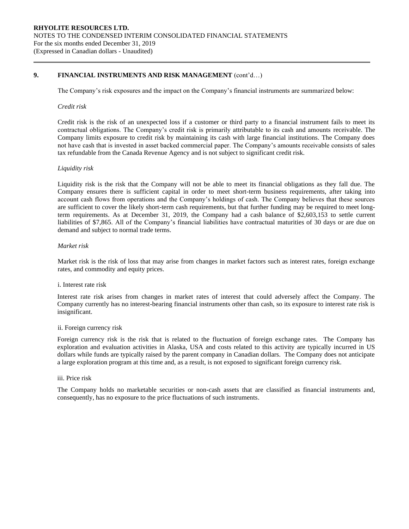## **9. FINANCIAL INSTRUMENTS AND RISK MANAGEMENT** (cont'd…)

The Company's risk exposures and the impact on the Company's financial instruments are summarized below:

#### *Credit risk*

Credit risk is the risk of an unexpected loss if a customer or third party to a financial instrument fails to meet its contractual obligations. The Company's credit risk is primarily attributable to its cash and amounts receivable. The Company limits exposure to credit risk by maintaining its cash with large financial institutions. The Company does not have cash that is invested in asset backed commercial paper. The Company's amounts receivable consists of sales tax refundable from the Canada Revenue Agency and is not subject to significant credit risk.

#### *Liquidity risk*

Liquidity risk is the risk that the Company will not be able to meet its financial obligations as they fall due. The Company ensures there is sufficient capital in order to meet short-term business requirements, after taking into account cash flows from operations and the Company's holdings of cash. The Company believes that these sources are sufficient to cover the likely short-term cash requirements, but that further funding may be required to meet longterm requirements. As at December 31, 2019, the Company had a cash balance of \$2,603,153 to settle current liabilities of \$7,865. All of the Company's financial liabilities have contractual maturities of 30 days or are due on demand and subject to normal trade terms.

## *Market risk*

Market risk is the risk of loss that may arise from changes in market factors such as interest rates, foreign exchange rates, and commodity and equity prices.

#### i. Interest rate risk

Interest rate risk arises from changes in market rates of interest that could adversely affect the Company. The Company currently has no interest-bearing financial instruments other than cash, so its exposure to interest rate risk is insignificant.

#### ii. Foreign currency risk

Foreign currency risk is the risk that is related to the fluctuation of foreign exchange rates. The Company has exploration and evaluation activities in Alaska, USA and costs related to this activity are typically incurred in US dollars while funds are typically raised by the parent company in Canadian dollars. The Company does not anticipate a large exploration program at this time and, as a result, is not exposed to significant foreign currency risk.

## iii. Price risk

The Company holds no marketable securities or non-cash assets that are classified as financial instruments and, consequently, has no exposure to the price fluctuations of such instruments.